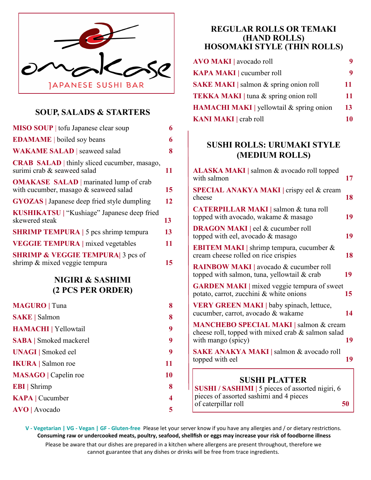

# **SOUP, SALADS & STARTERS**

| <b>MISO SOUP</b> tofu Japanese clear soup                                              | 6                       |
|----------------------------------------------------------------------------------------|-------------------------|
| <b>EDAMAME</b>   boiled soy beans                                                      | 6                       |
| <b>WAKAME SALAD</b>   seaweed salad                                                    | 8                       |
| <b>CRAB SALAD</b>   thinly sliced cucumber, masago,<br>surimi crab & seaweed salad     | 11                      |
| <b>OMAKASE SALAD</b>   marinated lump of crab<br>with cucumber, masago & seaweed salad | 15                      |
| <b>GYOZAS</b>   Japanese deep fried style dumpling                                     | 12                      |
| <b>KUSHIKATSU</b>   "Kushiage" Japanese deep fried<br>skewered steak                   | 13                      |
| <b>SHRIMP TEMPURA</b>   5 pcs shrimp tempura                                           | 13                      |
| <b>VEGGIE TEMPURA</b>   mixed vegetables                                               | 11                      |
| <b>SHRIMP &amp; VEGGIE TEMPURA</b> 3 pcs of<br>shrimp & mixed veggie tempura           | 15                      |
| NIGIRI & SASHIMI<br>(2 PCS PER ORDER)                                                  |                         |
| <b>MAGURO</b>   Tuna                                                                   | 8                       |
| <b>SAKE</b>   Salmon                                                                   | 8                       |
| HAMACHI   Yellowtail                                                                   | 9                       |
| <b>SABA</b>   Smoked mackerel                                                          | 9                       |
| <b>UNAGI</b> Smoked eel                                                                | 9                       |
| <b>IKURA</b>   Salmon roe                                                              | 11                      |
| <b>MASAGO</b>   Capelin roe                                                            | 10                      |
| <b>EBI</b>   Shrimp                                                                    | 8                       |
| <b>KAPA</b>   Cucumber                                                                 | $\overline{\mathbf{4}}$ |

**AVO |** Avocado **5**

### **REGULAR ROLLS OR TEMAKI (HAND ROLLS) HOSOMAKI STYLE (THIN ROLLS)**

| <b>AVO MAKI</b> avocado roll                    |    |
|-------------------------------------------------|----|
| <b>KAPA MAKI</b> cucumber roll                  |    |
| <b>SAKE MAKI</b>   salmon & spring onion roll   | 11 |
| <b>TEKKA MAKI</b>   tuna & spring onion roll    | 11 |
| <b>HAMACHI MAKI</b>   yellowtail & spring onion | 13 |
| <b>KANI MAKI</b> crab roll                      |    |

## **SUSHI ROLLS: URUMAKI STYLE (MEDIUM ROLLS)**

| ALASKA MAKI   salmon & avocado roll topped<br>with salmon                                                                 | 17 |
|---------------------------------------------------------------------------------------------------------------------------|----|
| SPECIAL ANAKYA MAKI   crispy eel & cream<br>cheese                                                                        | 18 |
| <b>CATERPILLAR MAKI</b>   salmon & tuna roll<br>topped with avocado, wakame & masago                                      | 19 |
| <b>DRAGON MAKI</b>   eel & cucumber roll<br>topped with eel, avocado & masago                                             | 19 |
| <b>EBITEM MAKI</b>   shrimp tempura, cucumber $\&$<br>cream cheese rolled on rice crispies                                | 18 |
| <b>RAINBOW MAKI</b> avocado & cucumber roll<br>topped with salmon, tuna, yellowtail & crab                                | 19 |
| <b>GARDEN MAKI</b>   mixed veggie tempura of sweet<br>potato, carrot, zucchini & white onions                             | 15 |
| <b>VERY GREEN MAKI</b>   baby spinach, lettuce,<br>cucumber, carrot, avocado & wakame                                     | 14 |
| <b>MANCHEBO SPECIAL MAKI</b>   salmon & cream<br>cheese roll, topped with mixed crab & salmon salad<br>with mango (spicy) | 19 |
| <b>SAKE ANAKYA MAKI</b>   salmon & avocado roll<br>topped with eel                                                        | 19 |
| <b>CHICHI DI ATTED</b>                                                                                                    |    |

## **SUSHI PLATTER**

**SUSHI / SASHIMI |** 5 pieces of assorted nigiri, 6 pieces of assorted sashimi and 4 pieces of caterpillar roll **50**

**V - Vegetarian | VG - Vegan | GF - Gluten-free** Please let your server know if you have any allergies and / or dietary restrictions. **Consuming raw or undercooked meats, poultry, seafood, shellfish or eggs may increase your risk of foodborne illness**

Please be aware that our dishes are prepared in a kitchen where allergens are present throughout, therefore we cannot guarantee that any dishes or drinks will be free from trace ingredients.